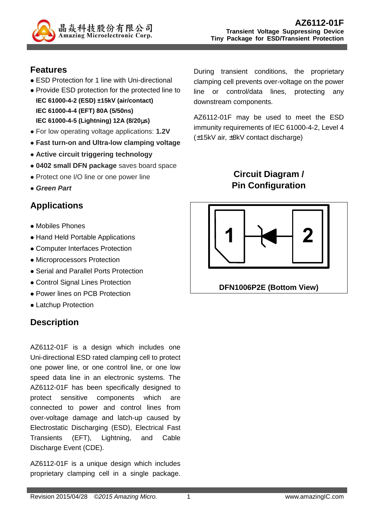

#### **Features**

- ESD Protection for 1 line with Uni-directional
- Provide ESD protection for the protected line to **IEC 61000-4-2 (ESD) ±15kV (air/contact) IEC 61000-4-4 (EFT) 80A (5/50ns) IEC 61000-4-5 (Lightning) 12A (8/20**µ**s)**
- For low operating voltage applications: **1.2V**
- **Fast turn-on and Ultra-low clamping voltage**
- **Active circuit triggering technology**
- **0402 small DFN package** saves board space
- Protect one I/O line or one power line
- **Green Part**

## **Applications**

- Mobiles Phones
- Hand Held Portable Applications
- Computer Interfaces Protection
- Microprocessors Protection
- Serial and Parallel Ports Protection
- Control Signal Lines Protection
- Power lines on PCB Protection
- Latchup Protection

# **Description**

AZ6112-01F is a design which includes one Uni-directional ESD rated clamping cell to protect one power line, or one control line, or one low speed data line in an electronic systems. The AZ6112-01F has been specifically designed to protect sensitive components which are connected to power and control lines from over-voltage damage and latch-up caused by Electrostatic Discharging (ESD), Electrical Fast Transients (EFT), Lightning, and Cable Discharge Event (CDE).

AZ6112-01F is a unique design which includes proprietary clamping cell in a single package.

During transient conditions, the proprietary clamping cell prevents over-voltage on the power line or control/data lines, protecting any downstream components.

AZ6112-01F may be used to meet the ESD immunity requirements of IEC 61000-4-2, Level 4 (±15kV air, ±8kV contact discharge)

### **Circuit Diagram / Pin Configuration**

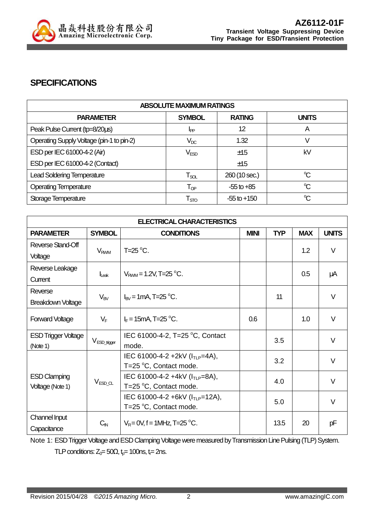

#### **SPECIFICATIONS**

| <b>ABSOLUTE MAXIMUM RATINGS</b>           |                            |                 |              |  |
|-------------------------------------------|----------------------------|-----------------|--------------|--|
| <b>PARAMETER</b>                          | <b>SYMBOL</b>              | <b>RATING</b>   | <b>UNITS</b> |  |
| Peak Pulse Current (tp=8/20us)            | I <sub>PP</sub>            | 12              | A            |  |
| Operating Supply Voltage (pin-1 to pin-2) | $V_{DC}$                   | 1.32            |              |  |
| ESD per IEC 61000-4-2 (Air)               | V <sub>ESD</sub>           | ±15             | kV           |  |
| ESD per IEC 61000-4-2 (Contact)           |                            | ±15             |              |  |
| <b>Lead Soldering Temperature</b>         | $T_{\rm SOL}$              | 260 (10 sec.)   | $\mathrm{C}$ |  |
| <b>Operating Temperature</b>              | $\mathsf{T}_{\textsf{OP}}$ | $-55$ to $+85$  | $\mathrm{C}$ |  |
| Storage Temperature                       | $\mathsf{T}_{\text{STO}}$  | $-55$ to $+150$ | $\mathrm{C}$ |  |

| <b>ELECTRICAL CHARACTERISTICS</b> |                        |                                        |             |            |            |              |
|-----------------------------------|------------------------|----------------------------------------|-------------|------------|------------|--------------|
| <b>PARAMETER</b>                  | <b>SYMBOL</b>          | <b>CONDITIONS</b>                      | <b>MINI</b> | <b>TYP</b> | <b>MAX</b> | <b>UNITS</b> |
| Reverse Stand-Off                 | <b>V<sub>RWM</sub></b> | T=25 $\mathrm{^{\circ}C}$ .            |             |            | 1.2        | $\vee$       |
| Voltage                           |                        |                                        |             |            |            |              |
| Reverse Leakage                   |                        | $V_{RWM} = 1.2V$ , T=25 °C.            |             |            | 0.5        |              |
| Current                           | $I_{\text{L}eak}$      |                                        |             |            |            | μA           |
| Reverse                           | $V_{BV}$               | $I_{BV}$ = 1 mA, T=25 °C.              |             | 11         |            | $\vee$       |
| <b>Breakdown Voltage</b>          |                        |                                        |             |            |            |              |
| <b>Forward Voltage</b>            | $V_F$                  | $I_F = 15 \text{mA}$ , T=25 °C.        | 0.6         |            | 1.0        | V            |
| <b>ESD Trigger Voltage</b>        |                        | IEC 61000-4-2, T=25 °C, Contact        |             |            |            |              |
| (Note 1)                          | $V_{ESD\_trigger}$     | mode.                                  |             | 3.5        |            | $\vee$       |
|                                   |                        | IEC 61000-4-2 +2kV (ITLP=4A),          |             | 3.2        |            | V            |
|                                   |                        | T=25 °C, Contact mode.                 |             |            |            |              |
| <b>ESD Clamping</b>               | $V_{ESD\_CL}$          | IEC 61000-4-2 +4kV ( $I_{TLP} = 8A$ ), |             | 4.0        |            | $\vee$       |
| Voltage (Note 1)                  |                        | T=25 °C, Contact mode.                 |             |            |            |              |
|                                   |                        | IEC 61000-4-2 +6kV ( $I_{TLP}$ =12A),  |             | 5.0        |            | V            |
|                                   |                        | T=25 °C, Contact mode.                 |             |            |            |              |
| Channel Input                     | $C_{\text{IN}}$        | $V_R = 0V$ , f = 1MHz, T=25 °C.        |             | 13.5       | 20         | рF           |
| Capacitance                       |                        |                                        |             |            |            |              |

Note 1: ESD Trigger Voltage and ESD Clamping Voltage were measured by Transmission Line Pulsing (TLP) System. TLP conditions:  $Z_0 = 50\Omega$ ,  $t_0 = 100$ ns,  $t_0 = 2$ ns.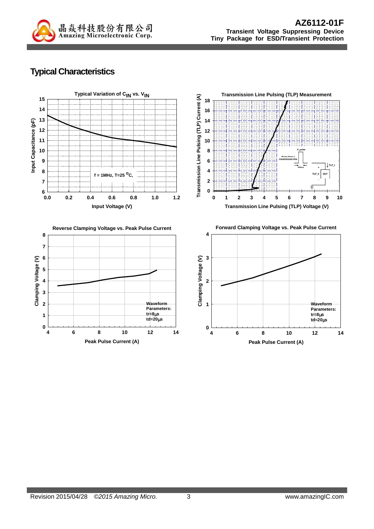

## **Typical Characteristics**









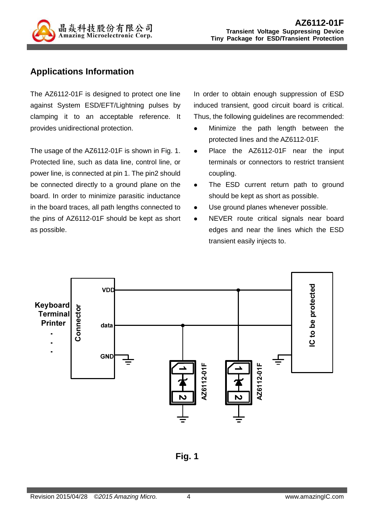

#### **Applications Information**

The AZ6112-01F is designed to protect one line against System ESD/EFT/Lightning pulses by clamping it to an acceptable reference. It provides unidirectional protection.

The usage of the AZ6112-01F is shown in Fig. 1. Protected line, such as data line, control line, or power line, is connected at pin 1. The pin2 should be connected directly to a ground plane on the board. In order to minimize parasitic inductance in the board traces, all path lengths connected to the pins of AZ6112-01F should be kept as short as possible.

In order to obtain enough suppression of ESD induced transient, good circuit board is critical. Thus, the following guidelines are recommended:

- Minimize the path length between the protected lines and the AZ6112-01F.
- Place the AZ6112-01F near the input terminals or connectors to restrict transient coupling.
- The ESD current return path to ground should be kept as short as possible.
- Use ground planes whenever possible.
- NEVER route critical signals near board edges and near the lines which the ESD transient easily injects to.



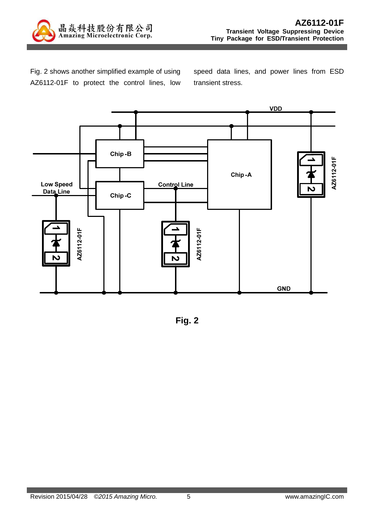

Fig. 2 shows another simplified example of using AZ6112-01F to protect the control lines, low speed data lines, and power lines from ESD transient stress.



**Fig. 2**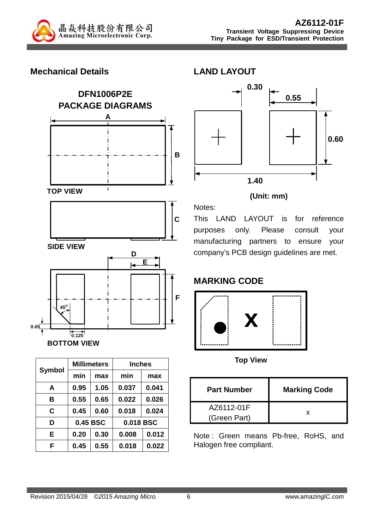

#### **Mechanical Details**





| <b>Symbol</b> |          | <b>Millimeters</b> | <b>Inches</b> |       |  |
|---------------|----------|--------------------|---------------|-------|--|
|               | min      | max                | min           | max   |  |
| A             | 0.95     | 1.05               | 0.037         | 0.041 |  |
| в             | 0.55     | 0.65               | 0.022         | 0.026 |  |
| C             | 0.45     | 0.60               | 0.018         | 0.024 |  |
| D             | 0.45 BSC |                    | 0.018 BSC     |       |  |
| E             | 0.20     | 0.30               | 0.008         | 0.012 |  |
| F             | 0.45     | 0.55               | 0.018         | 0.022 |  |



#### **(Unit: mm)**

This LAND LAYOUT is for reference purposes only. Please consult your manufacturing partners to ensure your company's PCB design guidelines are met.

## **MARKING CODE**

Notes:



**Top View** 

| <b>Part Number</b>         | <b>Marking Code</b> |
|----------------------------|---------------------|
| AZ6112-01F<br>(Green Part) |                     |

Note : Green means Pb-free, RoHS, and Halogen free compliant.